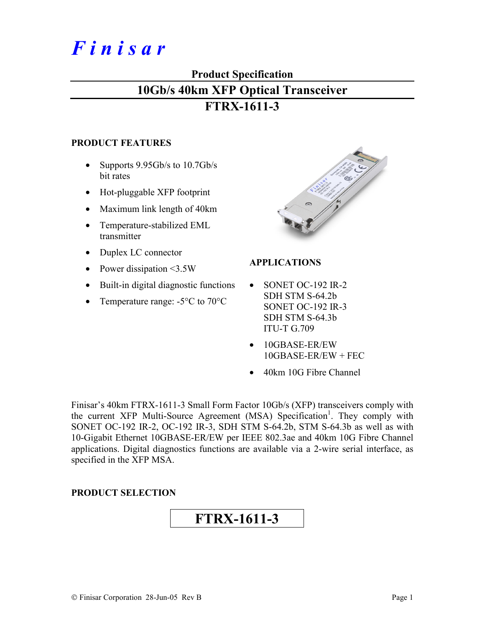# *F i n i s a r*

#### **Product Specification**

### **10Gb/s 40km XFP Optical Transceiver**

## **FTRX-1611-3**

#### **PRODUCT FEATURES**

- Supports 9.95Gb/s to 10.7Gb/s bit rates
- Hot-pluggable XFP footprint
- Maximum link length of 40km
- Temperature-stabilized EML transmitter
- Duplex LC connector
- Power dissipation <3.5W
- Built-in digital diagnostic functions
- Temperature range: -5<sup>o</sup>C to 70<sup>o</sup>C



#### **APPLICATIONS**

- SONET OC-192 IR-2 SDH STM S-64.2b SONET OC-192 IR-3 SDH STM S-64.3b ITU-T G.709
- 10GBASE-ER/EW 10GBASE-ER/EW + FEC
- 40km 10G Fibre Channel

Finisar's 40km FTRX-1611-3 Small Form Factor 10Gb/s (XFP) transceivers comply with the current XFP Multi-Source Agreement (MSA) Specification<sup>1</sup>. They comply with SONET OC-192 IR-2, OC-192 IR-3, SDH STM S-64.2b, STM S-64.3b as well as with 10-Gigabit Ethernet 10GBASE-ER/EW per IEEE 802.3ae and 40km 10G Fibre Channel applications. Digital diagnostics functions are available via a 2-wire serial interface, as specified in the XFP MSA.

#### **PRODUCT SELECTION**

# **FTRX-1611-3**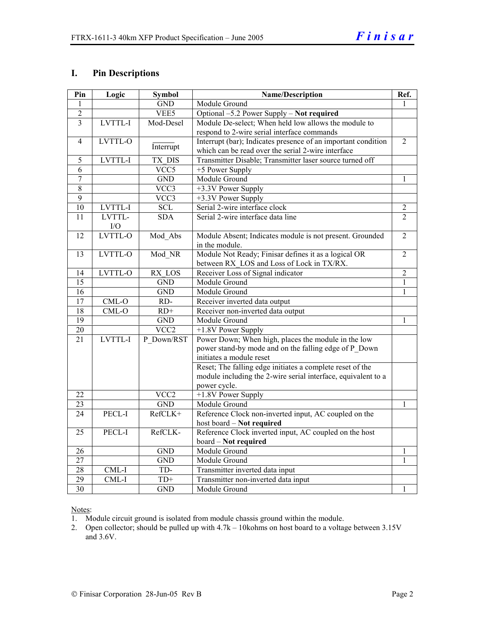#### **I. Pin Descriptions**

| Pin             | Logic          | <b>Symbol</b>             | Name/Description                                              |                |  |  |
|-----------------|----------------|---------------------------|---------------------------------------------------------------|----------------|--|--|
| 1               |                | <b>GND</b>                | Module Ground                                                 |                |  |  |
| $\overline{2}$  |                | VEE5                      | Optional -5.2 Power Supply - Not required                     |                |  |  |
| $\overline{3}$  | LVTTL-I        | Mod-Desel                 | Module De-select; When held low allows the module to          |                |  |  |
|                 |                |                           | respond to 2-wire serial interface commands                   |                |  |  |
| $\overline{4}$  | LVTTL-O        |                           | Interrupt (bar); Indicates presence of an important condition | $\overline{2}$ |  |  |
|                 |                | Interrupt                 | which can be read over the serial 2-wire interface            |                |  |  |
| 5               | LVTTL-I        | TX DIS                    | Transmitter Disable; Transmitter laser source turned off      |                |  |  |
| $\overline{6}$  |                | VCC5                      | +5 Power Supply                                               |                |  |  |
| $\overline{7}$  |                | <b>GND</b>                | Module Ground                                                 | 1              |  |  |
| $\overline{8}$  |                | $\overline{VCC3}$         | +3.3V Power Supply                                            |                |  |  |
| $\overline{9}$  |                | $\overline{\text{VCC}}$ 3 | +3.3V Power Supply                                            |                |  |  |
| 10              | <b>LVTTL-I</b> | <b>SCL</b>                | Serial 2-wire interface clock                                 | $\sqrt{2}$     |  |  |
| 11              | LVTTL-         | SDA                       | Serial 2-wire interface data line                             | $\overline{2}$ |  |  |
|                 | I/O            |                           |                                                               |                |  |  |
| $\overline{12}$ | LVTTL-O        | Mod_Abs                   | Module Absent; Indicates module is not present. Grounded      | $\overline{2}$ |  |  |
|                 |                |                           | in the module.                                                |                |  |  |
| 13              | LVTTL-O        | Mod NR                    | Module Not Ready; Finisar defines it as a logical OR          | $\overline{2}$ |  |  |
|                 |                |                           | between RX LOS and Loss of Lock in TX/RX.                     |                |  |  |
| 14              | LVTTL-O        | RX LOS                    | Receiver Loss of Signal indicator                             | $\overline{2}$ |  |  |
| 15              |                | <b>GND</b>                | Module Ground                                                 | 1              |  |  |
| $\overline{16}$ |                | <b>GND</b>                | Module Ground                                                 | 1              |  |  |
| 17              | $CML-O$        | RD-                       | Receiver inverted data output                                 |                |  |  |
| $\overline{18}$ | $CML-O$        | $RD+$                     | Receiver non-inverted data output                             |                |  |  |
| $\overline{19}$ |                | <b>GND</b>                | Module Ground                                                 | 1              |  |  |
| $20\,$          |                | VCC <sub>2</sub>          | +1.8V Power Supply                                            |                |  |  |
| 21              | LVTTL-I        | P Down/RST                | Power Down; When high, places the module in the low           |                |  |  |
|                 |                |                           | power stand-by mode and on the falling edge of P Down         |                |  |  |
|                 |                |                           | initiates a module reset                                      |                |  |  |
|                 |                |                           | Reset; The falling edge initiates a complete reset of the     |                |  |  |
|                 |                |                           | module including the 2-wire serial interface, equivalent to a |                |  |  |
|                 |                |                           | power cycle.                                                  |                |  |  |
| 22              |                | VCC <sub>2</sub>          | +1.8V Power Supply                                            |                |  |  |
| 23              |                | <b>GND</b>                | Module Ground                                                 | 1              |  |  |
| 24              | PECL-I         | RefCLK+                   | Reference Clock non-inverted input, AC coupled on the         |                |  |  |
|                 |                |                           | host board - Not required                                     |                |  |  |
| 25              | PECL-I         | RefCLK-                   | Reference Clock inverted input, AC coupled on the host        |                |  |  |
|                 |                |                           | board - Not required<br>Module Ground                         |                |  |  |
| 26              |                | <b>GND</b>                |                                                               | 1              |  |  |
| $\overline{27}$ |                | <b>GND</b>                | Module Ground                                                 | 1              |  |  |
| $\overline{28}$ | CML-I          | TD-                       | Transmitter inverted data input                               |                |  |  |
| $\overline{29}$ | CML-I          | $TD+$                     | Transmitter non-inverted data input                           |                |  |  |
| $\overline{30}$ |                | <b>GND</b>                | Module Ground                                                 | 1              |  |  |

#### Notes:

1. Module circuit ground is isolated from module chassis ground within the module.

2. Open collector; should be pulled up with 4.7k – 10kohms on host board to a voltage between 3.15V and 3.6V.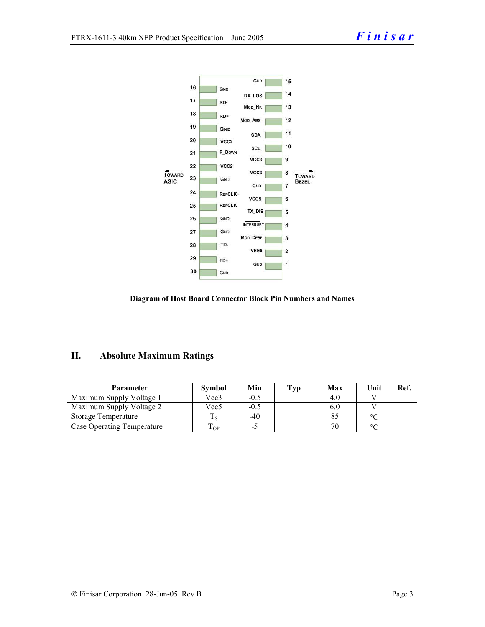

#### **Diagram of Host Board Connector Block Pin Numbers and Names**

#### **II. Absolute Maximum Ratings**

| Parameter                  | <b>Symbol</b> | Min    | Tvp | Max | Unit    | Ref. |
|----------------------------|---------------|--------|-----|-----|---------|------|
| Maximum Supply Voltage 1   | Vcc3          | $-0.5$ |     | 4.1 |         |      |
| Maximum Supply Voltage 2   | Vcc5          | $-0.5$ |     | o.u |         |      |
| <b>Storage Temperature</b> |               | -40    |     |     | $\circ$ |      |
| Case Operating Temperature | ⊦ OP          |        |     | 70  | $\sim$  |      |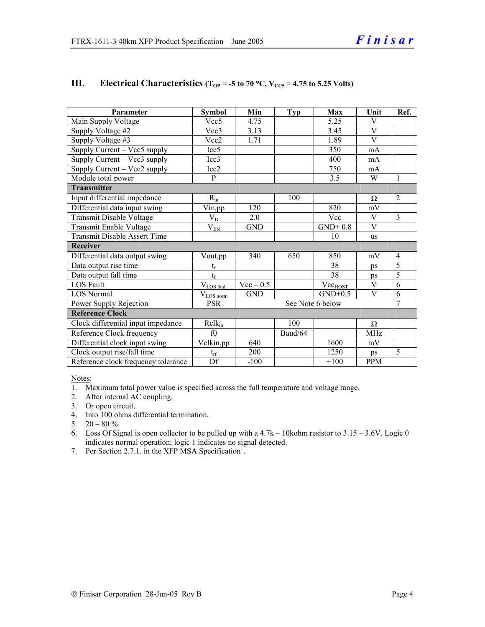| Parameter                                        | <b>Symbol</b>          | Min              | Typ     | Max          | Unit                    | Ref.           |  |  |
|--------------------------------------------------|------------------------|------------------|---------|--------------|-------------------------|----------------|--|--|
| Main Supply Voltage                              | Vcc <sub>5</sub>       | 4.75             |         | 5.25         | V                       |                |  |  |
| Supply Voltage #2                                | Vcc3                   | 3.13             |         | 3.45         | $\overline{\mathsf{V}}$ |                |  |  |
| Supply Voltage #3                                | Vcc2                   | 1.71             |         | 1.89         | V                       |                |  |  |
| $\overline{\text{Supply}}$ Current – Vcc5 supply | Icc <sub>5</sub>       |                  |         | 350          | mA                      |                |  |  |
| Supply Current – Vcc3 supply                     | Icc3                   |                  |         | 400          | mA                      |                |  |  |
| Supply Current – Vcc2 supply                     | Icc2                   |                  |         | 750          | mA                      |                |  |  |
| Module total power                               | P                      |                  |         | 3.5          | W                       | 1              |  |  |
| <b>Transmitter</b>                               |                        |                  |         |              |                         |                |  |  |
| Input differential impedance                     | $R_{in}$               |                  | 100     |              | $\Omega$                | 2              |  |  |
| Differential data input swing                    | Vin,pp                 | 120              |         | 820          | mV                      |                |  |  |
| Transmit Disable Voltage                         | $V_D$                  | 2.0              |         | Vcc          | V                       | $\overline{3}$ |  |  |
| Transmit Enable Voltage                          | $V_{EN}$               | <b>GND</b>       |         | $GND+0.8$    | V                       |                |  |  |
| <b>Transmit Disable Assert Time</b>              |                        |                  |         | 10           | <b>us</b>               |                |  |  |
| <b>Receiver</b>                                  |                        |                  |         |              |                         |                |  |  |
| Differential data output swing                   | Vout,pp                | 340              | 650     | 850          | mV                      | $\overline{4}$ |  |  |
| Data output rise time                            | $\mathfrak{t}_{\rm r}$ |                  |         | 38           | ps                      | $\overline{5}$ |  |  |
| Data output fall time                            | $t_{\rm f}$            |                  |         | 38           | ps                      | $\overline{5}$ |  |  |
| LOS Fault                                        | $V_{LOS fault}$        | $Vec - 0.5$      |         | $Vec_{HOST}$ | V                       | 6              |  |  |
| <b>LOS</b> Normal                                | $\rm V_{LOS\,norm}$    | <b>GND</b>       |         | $GND+0.5$    | V                       | $\overline{6}$ |  |  |
| Power Supply Rejection                           | <b>PSR</b>             | See Note 6 below |         |              | $\overline{7}$          |                |  |  |
| <b>Reference Clock</b>                           |                        |                  |         |              |                         |                |  |  |
| Clock differential input impedance               | $R$ cl $k_{in}$        |                  | 100     |              | $\Omega$                |                |  |  |
| Reference Clock frequency                        | f(                     |                  | Baud/64 |              | MHz                     |                |  |  |
| Differential clock input swing                   | Vclkin,pp              | 640              |         | 1600         | mV                      |                |  |  |
| Clock output rise/fall time                      | $t_{rf}$               | 200              |         | 1250         | ps                      | 5              |  |  |
| Reference clock frequency tolerance              | $\overline{Df}$        | $-100$           |         | $+100$       | <b>PPM</b>              |                |  |  |

#### **III.** Electrical Characteristics ( $T_{OP}$  = -5 to 70 °C,  $V_{CC5}$  = 4.75 to 5.25 Volts)

Notes:

1. Maximum total power value is specified across the full temperature and voltage range.

- 2. After internal AC coupling.
- 3. Or open circuit.
- 4. Into 100 ohms differential termination.
- 5.  $20 80 \%$
- 6. Loss Of Signal is open collector to be pulled up with a 4.7k 10kohm resistor to 3.15 3.6V. Logic 0 indicates normal operation; logic 1 indicates no signal detected.
- 7. Per Section 2.7.1. in the XFP MSA Specification<sup>1</sup>.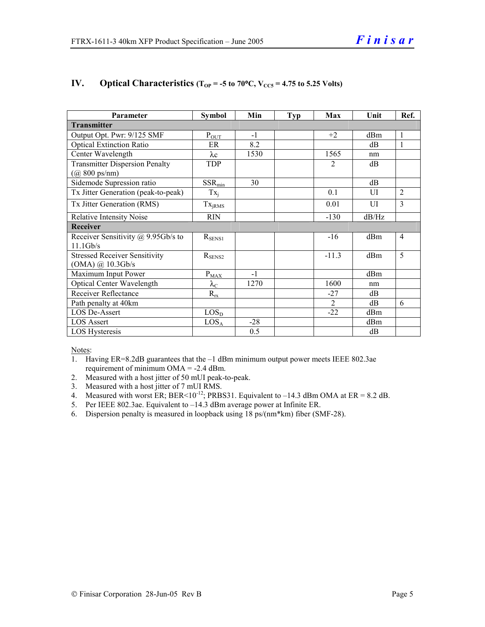| Parameter                                                       | <b>Symbol</b>      | Min   | <b>Typ</b> | Max            | Unit  | Ref.           |  |
|-----------------------------------------------------------------|--------------------|-------|------------|----------------|-------|----------------|--|
| <b>Transmitter</b>                                              |                    |       |            |                |       |                |  |
| Output Opt. Pwr: 9/125 SMF                                      | $P_{OUT}$          | $-1$  |            | $+2$           | dBm   | 1              |  |
| <b>Optical Extinction Ratio</b>                                 | ER                 | 8.2   |            |                | dB    | 1              |  |
| Center Wavelength                                               | $\lambda c$        | 1530  |            | 1565           | nm    |                |  |
| <b>Transmitter Dispersion Penalty</b><br>$(Q800 \text{ ps/nm})$ | <b>TDP</b>         |       |            | $\overline{2}$ | dB    |                |  |
| Sidemode Supression ratio                                       | $SSR_{min}$        | 30    |            |                | dB    |                |  |
| Tx Jitter Generation (peak-to-peak)                             | $Tx_i$             |       |            | 0.1            | UI    | $\overline{2}$ |  |
| Tx Jitter Generation (RMS)                                      | Tx <sub>jRMS</sub> |       |            | 0.01           | UI    | $\mathcal{E}$  |  |
| <b>Relative Intensity Noise</b>                                 | <b>RIN</b>         |       |            | $-130$         | dB/Hz |                |  |
| <b>Receiver</b>                                                 |                    |       |            |                |       |                |  |
| Receiver Sensitivity $\omega$ 9.95Gb/s to<br>11.1Gb/s           | $R_{SENS1}$        |       |            | $-16$          | dBm   | $\overline{4}$ |  |
| <b>Stressed Receiver Sensitivity</b><br>$(OMA)$ @ 10.3Gb/s      | $R_{\rm SENS2}$    |       |            | $-11.3$        | dBm   | 5              |  |
| Maximum Input Power                                             | $P_{MAX}$          | $-1$  |            |                | dBm   |                |  |
| Optical Center Wavelength                                       | $\lambda_{\rm C}$  | 1270  |            | 1600           | nm    |                |  |
| <b>Receiver Reflectance</b>                                     | $R_{rx}$           |       |            | $-27$          | dB    |                |  |
| Path penalty at 40km                                            |                    |       |            | $\mathfrak{D}$ | dB    | 6              |  |
| <b>LOS De-Assert</b>                                            | LOS <sub>D</sub>   |       |            | $-22$          | dBm   |                |  |
| <b>LOS Assert</b>                                               | LOS <sub>A</sub>   | $-28$ |            |                | dBm   |                |  |
| LOS Hysteresis                                                  |                    | 0.5   |            |                | dB    |                |  |

#### **IV.** Optical Characteristics ( $T_{OP} = -5$  to  $70^{\circ}$ C,  $V_{CC5} = 4.75$  to 5.25 Volts)

Notes:

- 1. Having ER=8.2dB guarantees that the –1 dBm minimum output power meets IEEE 802.3ae requirement of minimum OMA = -2.4 dBm.
- 2. Measured with a host jitter of 50 mUI peak-to-peak.
- 3. Measured with a host jitter of 7 mUI RMS.
- 4. Measured with worst ER; BER<10<sup>-12</sup>; PRBS31. Equivalent to  $-14.3$  dBm OMA at ER = 8.2 dB.
- 5. Per IEEE 802.3ae. Equivalent to –14.3 dBm average power at Infinite ER.
- 6. Dispersion penalty is measured in loopback using 18 ps/(nm\*km) fiber (SMF-28).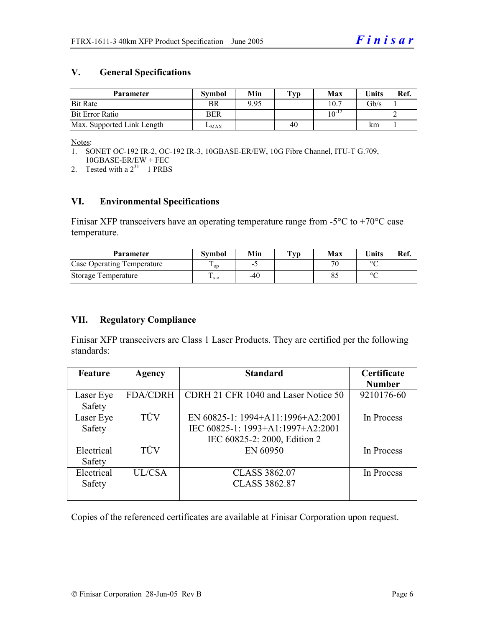#### **V. General Specifications**

| Parameter                  | <b>Symbol</b> | Min  | Typ | Max         | <b>Units</b> | Ref. |
|----------------------------|---------------|------|-----|-------------|--------------|------|
| <b>Bit Rate</b>            | BR            | 9.95 |     | 10.7        | $\rm{Gb/s}$  |      |
| Bit Error Ratio            | <b>BER</b>    |      |     | $\sim$ 0-14 |              |      |
| Max. Supported Link Length | $L_{MAX}$     |      | 40  |             | km           |      |

Notes:

- 1. SONET OC-192 IR-2, OC-192 IR-3, 10GBASE-ER/EW, 10G Fibre Channel, ITU-T G.709, 10GBASE-ER/EW + FEC
- 2. Tested with a  $2^{31} 1$  PRBS

#### **VI. Environmental Specifications**

Finisar XFP transceivers have an operating temperature range from  $-5^{\circ}$ C to  $+70^{\circ}$ C case temperature.

| <b>Parameter</b>           | <b>Symbol</b> | Min | $\mathbf{T}_{\mathbf{V}\mathbf{p}}$ | Max      | <b>Units</b> | Ref. |
|----------------------------|---------------|-----|-------------------------------------|----------|--------------|------|
| Case Operating Temperature | $\sim$ 0D     | -   |                                     | 70       | $\sim$       |      |
| Storage Temperature        | ⊥ sto         | -40 |                                     | $\sigma$ | $\sim$       |      |

#### **VII. Regulatory Compliance**

Finisar XFP transceivers are Class 1 Laser Products. They are certified per the following standards:

| <b>Feature</b>       | Agency          | <b>Standard</b>                                                                                        | Certificate<br><b>Number</b> |
|----------------------|-----------------|--------------------------------------------------------------------------------------------------------|------------------------------|
| Laser Eye<br>Safety  | <b>FDA/CDRH</b> | CDRH 21 CFR 1040 and Laser Notice 50                                                                   | 9210176-60                   |
| Laser Eye<br>Safety  | <b>TÜV</b>      | EN 60825-1: 1994+A11:1996+A2:2001<br>IEC 60825-1: 1993+A1:1997+A2:2001<br>IEC 60825-2: 2000, Edition 2 | In Process                   |
| Electrical<br>Safety | TÜV             | EN 60950                                                                                               | In Process                   |
| Electrical<br>Safety | UL/CSA          | <b>CLASS 3862.07</b><br><b>CLASS 3862.87</b>                                                           | In Process                   |

Copies of the referenced certificates are available at Finisar Corporation upon request.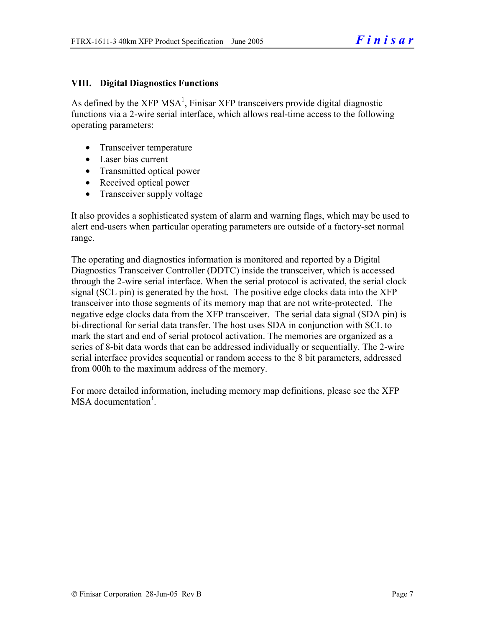#### **VIII. Digital Diagnostics Functions**

As defined by the XFP MSA<sup>1</sup>, Finisar XFP transceivers provide digital diagnostic functions via a 2-wire serial interface, which allows real-time access to the following operating parameters:

- Transceiver temperature
- Laser bias current
- Transmitted optical power
- Received optical power
- Transceiver supply voltage

It also provides a sophisticated system of alarm and warning flags, which may be used to alert end-users when particular operating parameters are outside of a factory-set normal range.

The operating and diagnostics information is monitored and reported by a Digital Diagnostics Transceiver Controller (DDTC) inside the transceiver, which is accessed through the 2-wire serial interface. When the serial protocol is activated, the serial clock signal (SCL pin) is generated by the host. The positive edge clocks data into the XFP transceiver into those segments of its memory map that are not write-protected. The negative edge clocks data from the XFP transceiver. The serial data signal (SDA pin) is bi-directional for serial data transfer. The host uses SDA in conjunction with SCL to mark the start and end of serial protocol activation. The memories are organized as a series of 8-bit data words that can be addressed individually or sequentially. The 2-wire serial interface provides sequential or random access to the 8 bit parameters, addressed from 000h to the maximum address of the memory.

For more detailed information, including memory map definitions, please see the XFP MSA documentation<sup>1</sup>.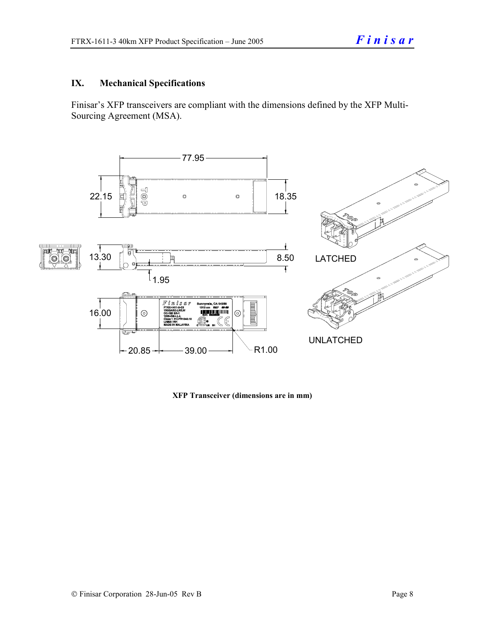#### **IX. Mechanical Specifications**

Finisar's XFP transceivers are compliant with the dimensions defined by the XFP Multi-Sourcing Agreement (MSA).



**XFP Transceiver (dimensions are in mm)**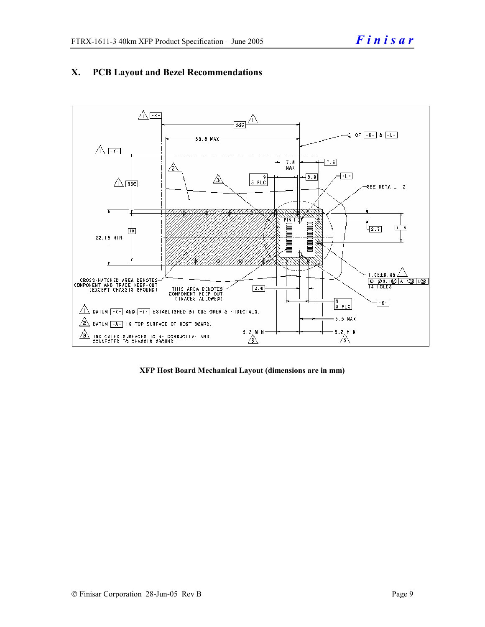

#### **X. PCB Layout and Bezel Recommendations**

**XFP Host Board Mechanical Layout (dimensions are in mm)**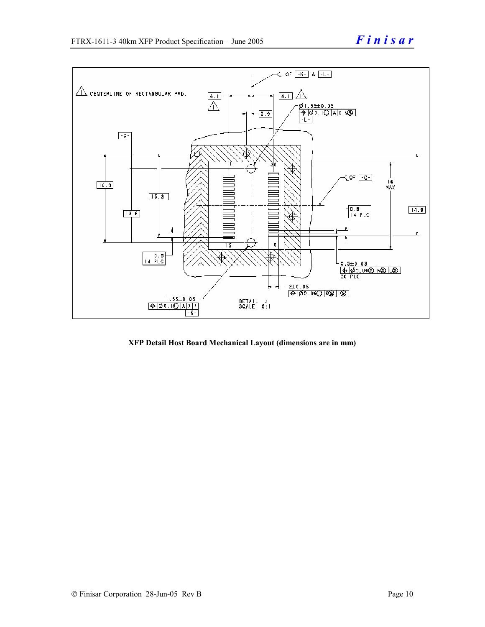

**XFP Detail Host Board Mechanical Layout (dimensions are in mm)**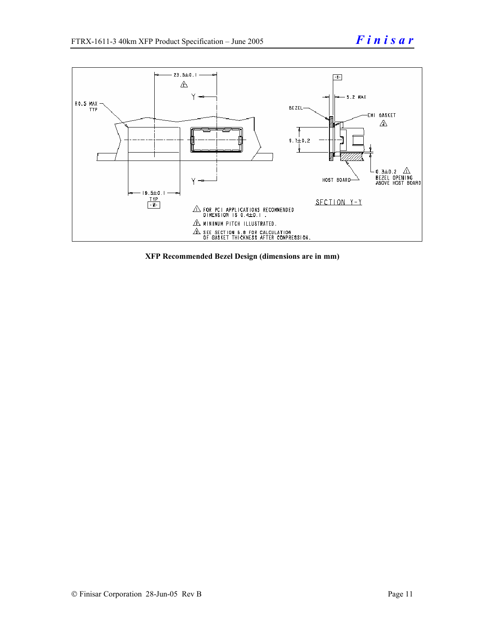

**XFP Recommended Bezel Design (dimensions are in mm)**